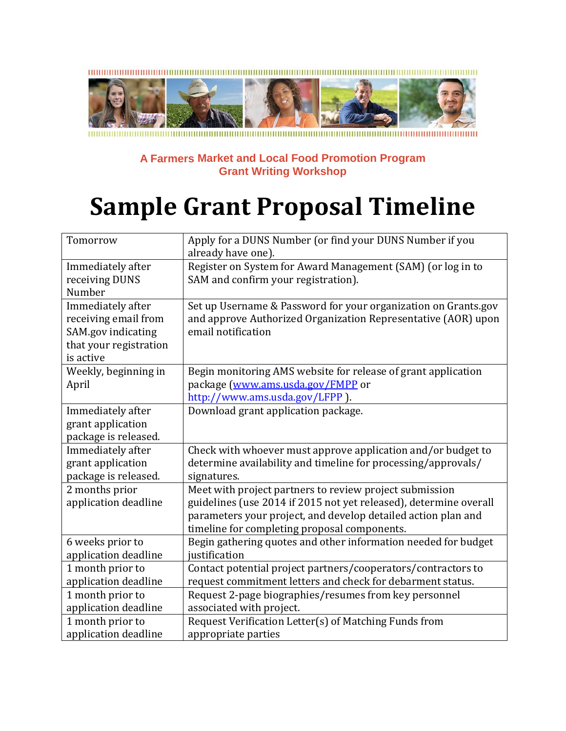

## **A Farmers Market and Local Food Promotion Program Grant Writing Workshop**

## **Sample Grant Proposal Timeline**

| Tomorrow               | Apply for a DUNS Number (or find your DUNS Number if you          |
|------------------------|-------------------------------------------------------------------|
|                        | already have one).                                                |
| Immediately after      | Register on System for Award Management (SAM) (or log in to       |
| receiving DUNS         | SAM and confirm your registration).                               |
| Number                 |                                                                   |
| Immediately after      | Set up Username & Password for your organization on Grants.gov    |
| receiving email from   | and approve Authorized Organization Representative (AOR) upon     |
| SAM.gov indicating     | email notification                                                |
| that your registration |                                                                   |
| is active              |                                                                   |
| Weekly, beginning in   | Begin monitoring AMS website for release of grant application     |
| April                  | package (www.ams.usda.gov/FMPP or                                 |
|                        | http://www.ams.usda.gov/LFPP ).                                   |
| Immediately after      | Download grant application package.                               |
| grant application      |                                                                   |
| package is released.   |                                                                   |
| Immediately after      | Check with whoever must approve application and/or budget to      |
| grant application      | determine availability and timeline for processing/approvals/     |
| package is released.   | signatures.                                                       |
| 2 months prior         | Meet with project partners to review project submission           |
| application deadline   | guidelines (use 2014 if 2015 not yet released), determine overall |
|                        | parameters your project, and develop detailed action plan and     |
|                        | timeline for completing proposal components.                      |
| 6 weeks prior to       | Begin gathering quotes and other information needed for budget    |
| application deadline   | justification                                                     |
| 1 month prior to       | Contact potential project partners/cooperators/contractors to     |
| application deadline   | request commitment letters and check for debarment status.        |
| 1 month prior to       | Request 2-page biographies/resumes from key personnel             |
| application deadline   | associated with project.                                          |
| 1 month prior to       | Request Verification Letter(s) of Matching Funds from             |
| application deadline   | appropriate parties                                               |